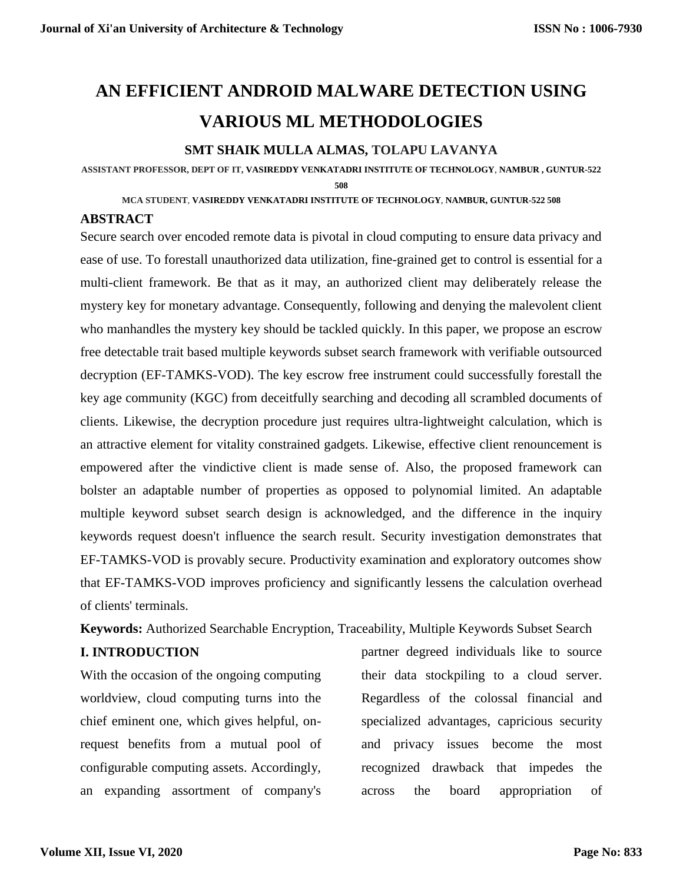# **AN EFFICIENT ANDROID MALWARE DETECTION USING VARIOUS ML METHODOLOGIES**

## **SMT SHAIK MULLA ALMAS, TOLAPU LAVANYA**

**ASSISTANT PROFESSOR, DEPT OF IT, VASIREDDY VENKATADRI INSTITUTE OF TECHNOLOGY**, **NAMBUR , GUNTUR-522 508**

**MCA STUDENT**, **VASIREDDY VENKATADRI INSTITUTE OF TECHNOLOGY**, **NAMBUR, GUNTUR-522 508**

### **ABSTRACT**

Secure search over encoded remote data is pivotal in cloud computing to ensure data privacy and ease of use. To forestall unauthorized data utilization, fine-grained get to control is essential for a multi-client framework. Be that as it may, an authorized client may deliberately release the mystery key for monetary advantage. Consequently, following and denying the malevolent client who manhandles the mystery key should be tackled quickly. In this paper, we propose an escrow free detectable trait based multiple keywords subset search framework with verifiable outsourced decryption (EF-TAMKS-VOD). The key escrow free instrument could successfully forestall the key age community (KGC) from deceitfully searching and decoding all scrambled documents of clients. Likewise, the decryption procedure just requires ultra-lightweight calculation, which is an attractive element for vitality constrained gadgets. Likewise, effective client renouncement is empowered after the vindictive client is made sense of. Also, the proposed framework can bolster an adaptable number of properties as opposed to polynomial limited. An adaptable multiple keyword subset search design is acknowledged, and the difference in the inquiry keywords request doesn't influence the search result. Security investigation demonstrates that EF-TAMKS-VOD is provably secure. Productivity examination and exploratory outcomes show that EF-TAMKS-VOD improves proficiency and significantly lessens the calculation overhead of clients' terminals.

**Keywords:** Authorized Searchable Encryption, Traceability, Multiple Keywords Subset Search

#### **I. INTRODUCTION**

With the occasion of the ongoing computing worldview, cloud computing turns into the chief eminent one, which gives helpful, onrequest benefits from a mutual pool of configurable computing assets. Accordingly, an expanding assortment of company's

partner degreed individuals like to source their data stockpiling to a cloud server. Regardless of the colossal financial and specialized advantages, capricious security and privacy issues become the most recognized drawback that impedes the across the board appropriation of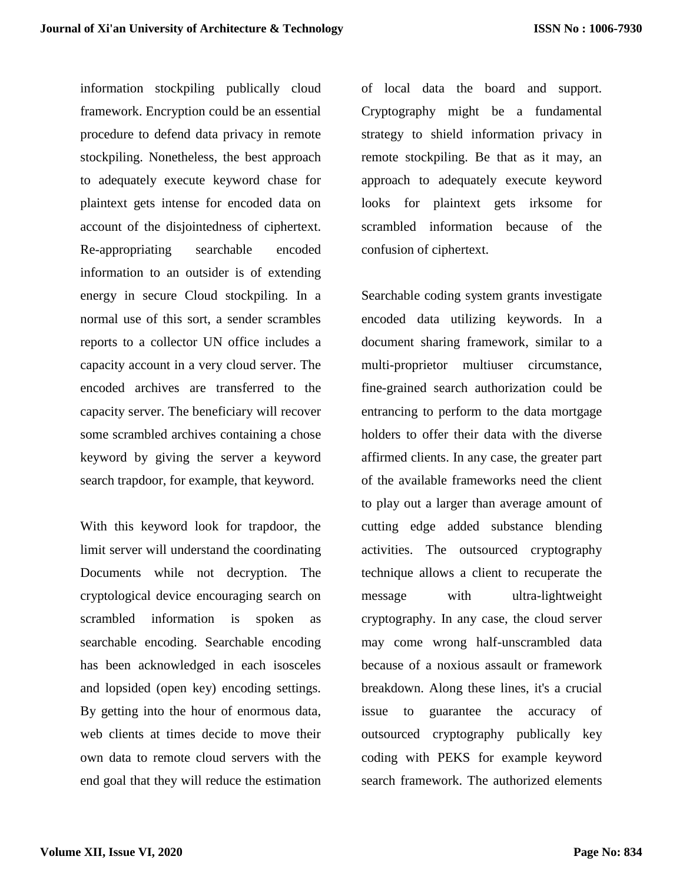information stockpiling publically cloud framework. Encryption could be an essential procedure to defend data privacy in remote stockpiling. Nonetheless, the best approach to adequately execute keyword chase for plaintext gets intense for encoded data on account of the disjointedness of ciphertext. Re-appropriating searchable encoded information to an outsider is of extending energy in secure Cloud stockpiling. In a normal use of this sort, a sender scrambles reports to a collector UN office includes a capacity account in a very cloud server. The encoded archives are transferred to the capacity server. The beneficiary will recover some scrambled archives containing a chose keyword by giving the server a keyword search trapdoor, for example, that keyword.

With this keyword look for trapdoor, the limit server will understand the coordinating Documents while not decryption. The cryptological device encouraging search on scrambled information is spoken as searchable encoding. Searchable encoding has been acknowledged in each isosceles and lopsided (open key) encoding settings. By getting into the hour of enormous data, web clients at times decide to move their own data to remote cloud servers with the end goal that they will reduce the estimation

of local data the board and support. Cryptography might be a fundamental strategy to shield information privacy in remote stockpiling. Be that as it may, an approach to adequately execute keyword looks for plaintext gets irksome for scrambled information because of the confusion of ciphertext.

Searchable coding system grants investigate encoded data utilizing keywords. In a document sharing framework, similar to a multi-proprietor multiuser circumstance, fine-grained search authorization could be entrancing to perform to the data mortgage holders to offer their data with the diverse affirmed clients. In any case, the greater part of the available frameworks need the client to play out a larger than average amount of cutting edge added substance blending activities. The outsourced cryptography technique allows a client to recuperate the message with ultra-lightweight cryptography. In any case, the cloud server may come wrong half-unscrambled data because of a noxious assault or framework breakdown. Along these lines, it's a crucial issue to guarantee the accuracy of outsourced cryptography publically key coding with PEKS for example keyword search framework. The authorized elements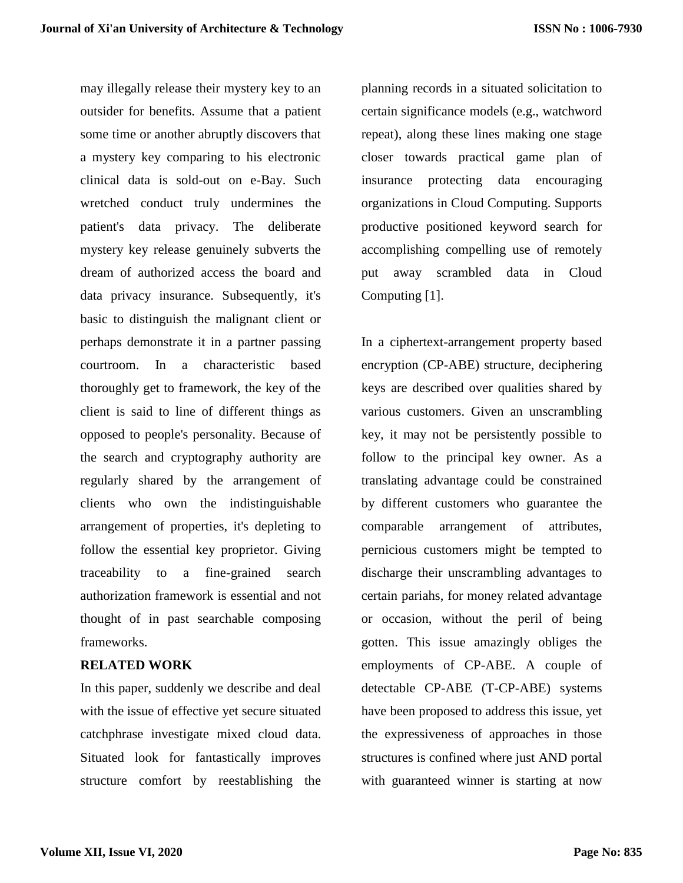may illegally release their mystery key to an outsider for benefits. Assume that a patient some time or another abruptly discovers that a mystery key comparing to his electronic clinical data is sold-out on e-Bay. Such wretched conduct truly undermines the patient's data privacy. The deliberate mystery key release genuinely subverts the dream of authorized access the board and data privacy insurance. Subsequently, it's basic to distinguish the malignant client or perhaps demonstrate it in a partner passing courtroom. In a characteristic based thoroughly get to framework, the key of the client is said to line of different things as opposed to people's personality. Because of the search and cryptography authority are regularly shared by the arrangement of clients who own the indistinguishable arrangement of properties, it's depleting to follow the essential key proprietor. Giving traceability to a fine-grained search authorization framework is essential and not thought of in past searchable composing frameworks.

#### **RELATED WORK**

In this paper, suddenly we describe and deal with the issue of effective yet secure situated catchphrase investigate mixed cloud data. Situated look for fantastically improves structure comfort by reestablishing the planning records in a situated solicitation to certain significance models (e.g., watchword repeat), along these lines making one stage closer towards practical game plan of insurance protecting data encouraging organizations in Cloud Computing. Supports productive positioned keyword search for accomplishing compelling use of remotely put away scrambled data in Cloud Computing [1].

In a ciphertext-arrangement property based encryption (CP-ABE) structure, deciphering keys are described over qualities shared by various customers. Given an unscrambling key, it may not be persistently possible to follow to the principal key owner. As a translating advantage could be constrained by different customers who guarantee the comparable arrangement of attributes, pernicious customers might be tempted to discharge their unscrambling advantages to certain pariahs, for money related advantage or occasion, without the peril of being gotten. This issue amazingly obliges the employments of CP-ABE. A couple of detectable CP-ABE (T-CP-ABE) systems have been proposed to address this issue, yet the expressiveness of approaches in those structures is confined where just AND portal with guaranteed winner is starting at now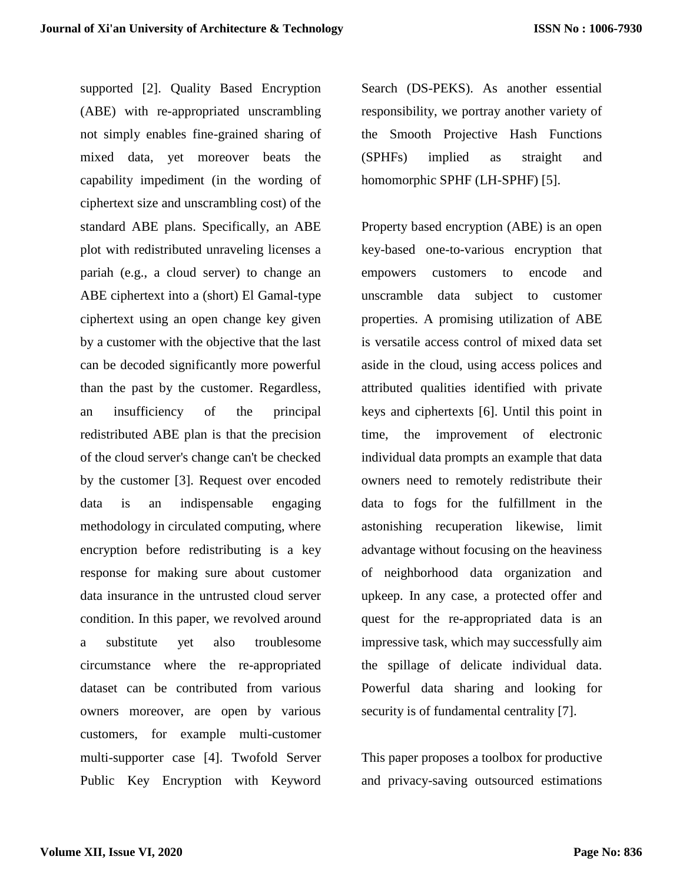supported [2]. Quality Based Encryption (ABE) with re-appropriated unscrambling not simply enables fine-grained sharing of mixed data, yet moreover beats the capability impediment (in the wording of ciphertext size and unscrambling cost) of the standard ABE plans. Specifically, an ABE plot with redistributed unraveling licenses a pariah (e.g., a cloud server) to change an ABE ciphertext into a (short) El Gamal-type ciphertext using an open change key given by a customer with the objective that the last can be decoded significantly more powerful than the past by the customer. Regardless, an insufficiency of the principal redistributed ABE plan is that the precision of the cloud server's change can't be checked by the customer [3]. Request over encoded data is an indispensable engaging methodology in circulated computing, where encryption before redistributing is a key response for making sure about customer data insurance in the untrusted cloud server condition. In this paper, we revolved around a substitute yet also troublesome circumstance where the re-appropriated dataset can be contributed from various owners moreover, are open by various customers, for example multi-customer multi-supporter case [4]. Twofold Server Public Key Encryption with Keyword

Search (DS-PEKS). As another essential responsibility, we portray another variety of the Smooth Projective Hash Functions (SPHFs) implied as straight and homomorphic SPHF (LH-SPHF) [5].

Property based encryption (ABE) is an open key-based one-to-various encryption that empowers customers to encode and unscramble data subject to customer properties. A promising utilization of ABE is versatile access control of mixed data set aside in the cloud, using access polices and attributed qualities identified with private keys and ciphertexts [6]. Until this point in time, the improvement of electronic individual data prompts an example that data owners need to remotely redistribute their data to fogs for the fulfillment in the astonishing recuperation likewise, limit advantage without focusing on the heaviness of neighborhood data organization and upkeep. In any case, a protected offer and quest for the re-appropriated data is an impressive task, which may successfully aim the spillage of delicate individual data. Powerful data sharing and looking for security is of fundamental centrality [7].

This paper proposes a toolbox for productive and privacy-saving outsourced estimations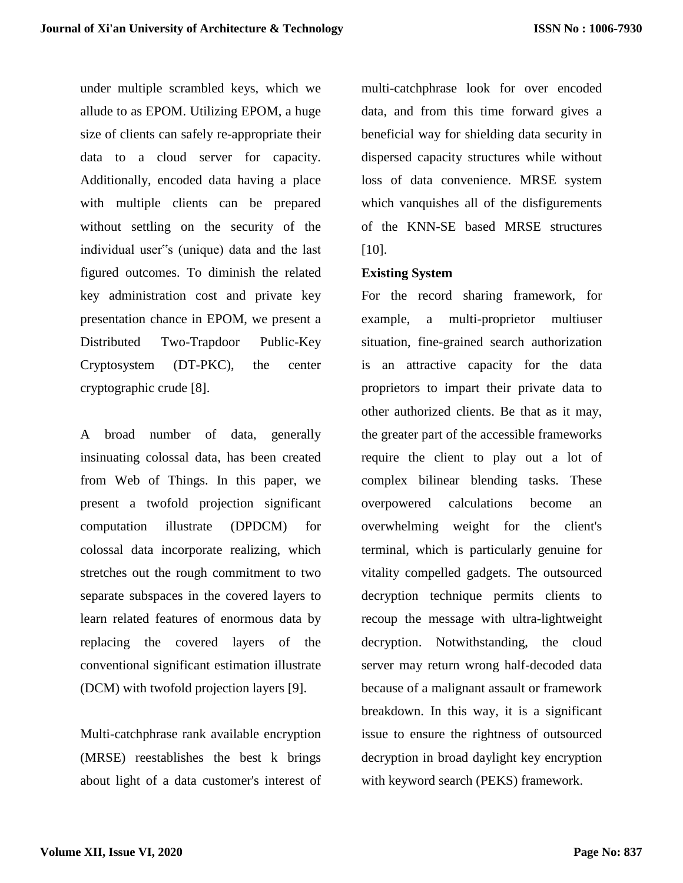under multiple scrambled keys, which we allude to as EPOM. Utilizing EPOM, a huge size of clients can safely re-appropriate their data to a cloud server for capacity. Additionally, encoded data having a place with multiple clients can be prepared without settling on the security of the individual user"s (unique) data and the last figured outcomes. To diminish the related key administration cost and private key presentation chance in EPOM, we present a Distributed Two-Trapdoor Public-Key Cryptosystem (DT-PKC), the center cryptographic crude [8].

A broad number of data, generally insinuating colossal data, has been created from Web of Things. In this paper, we present a twofold projection significant computation illustrate (DPDCM) for colossal data incorporate realizing, which stretches out the rough commitment to two separate subspaces in the covered layers to learn related features of enormous data by replacing the covered layers of the conventional significant estimation illustrate (DCM) with twofold projection layers [9].

Multi-catchphrase rank available encryption (MRSE) reestablishes the best k brings about light of a data customer's interest of multi-catchphrase look for over encoded data, and from this time forward gives a beneficial way for shielding data security in dispersed capacity structures while without loss of data convenience. MRSE system which vanquishes all of the disfigurements of the KNN-SE based MRSE structures [10].

#### **Existing System**

For the record sharing framework, for example, a multi-proprietor multiuser situation, fine-grained search authorization is an attractive capacity for the data proprietors to impart their private data to other authorized clients. Be that as it may, the greater part of the accessible frameworks require the client to play out a lot of complex bilinear blending tasks. These overpowered calculations become an overwhelming weight for the client's terminal, which is particularly genuine for vitality compelled gadgets. The outsourced decryption technique permits clients to recoup the message with ultra-lightweight decryption. Notwithstanding, the cloud server may return wrong half-decoded data because of a malignant assault or framework breakdown. In this way, it is a significant issue to ensure the rightness of outsourced decryption in broad daylight key encryption with keyword search (PEKS) framework.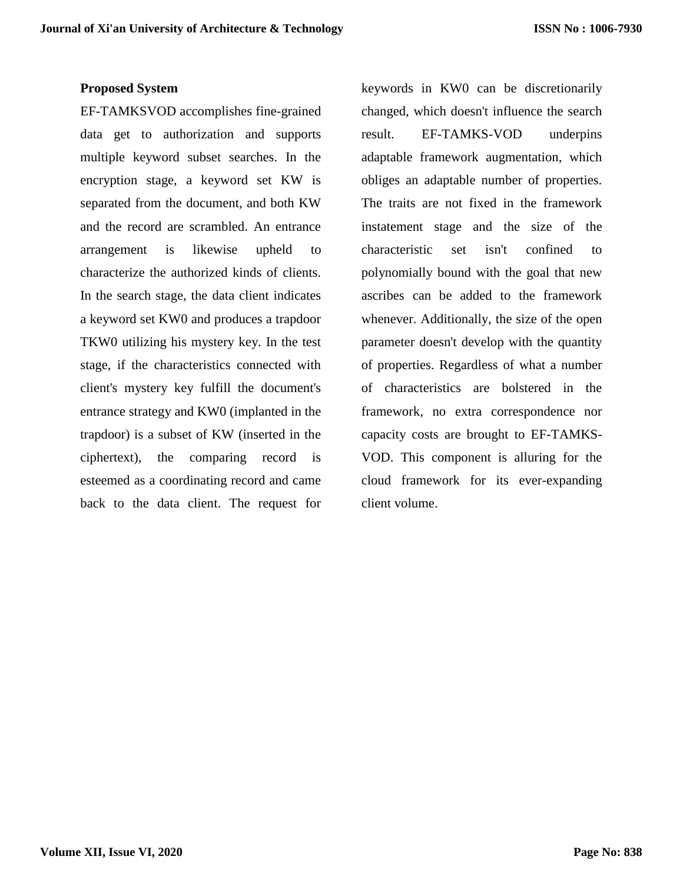#### **Proposed System**

EF-TAMKSVOD accomplishes fine-grained data get to authorization and supports multiple keyword subset searches. In the encryption stage, a keyword set KW is separated from the document, and both KW and the record are scrambled. An entrance arrangement is likewise upheld to characterize the authorized kinds of clients. In the search stage, the data client indicates a keyword set KW0 and produces a trapdoor TKW0 utilizing his mystery key. In the test stage, if the characteristics connected with client's mystery key fulfill the document's entrance strategy and KW0 (implanted in the trapdoor) is a subset of KW (inserted in the ciphertext), the comparing record is esteemed as a coordinating record and came back to the data client. The request for

keywords in KW0 can be discretionarily changed, which doesn't influence the search result. EF-TAMKS-VOD underpins adaptable framework augmentation, which obliges an adaptable number of properties. The traits are not fixed in the framework instatement stage and the size of the characteristic set isn't confined to polynomially bound with the goal that new ascribes can be added to the framework whenever. Additionally, the size of the open parameter doesn't develop with the quantity of properties. Regardless of what a number of characteristics are bolstered in the framework, no extra correspondence nor capacity costs are brought to EF-TAMKS-VOD. This component is alluring for the cloud framework for its ever-expanding client volume.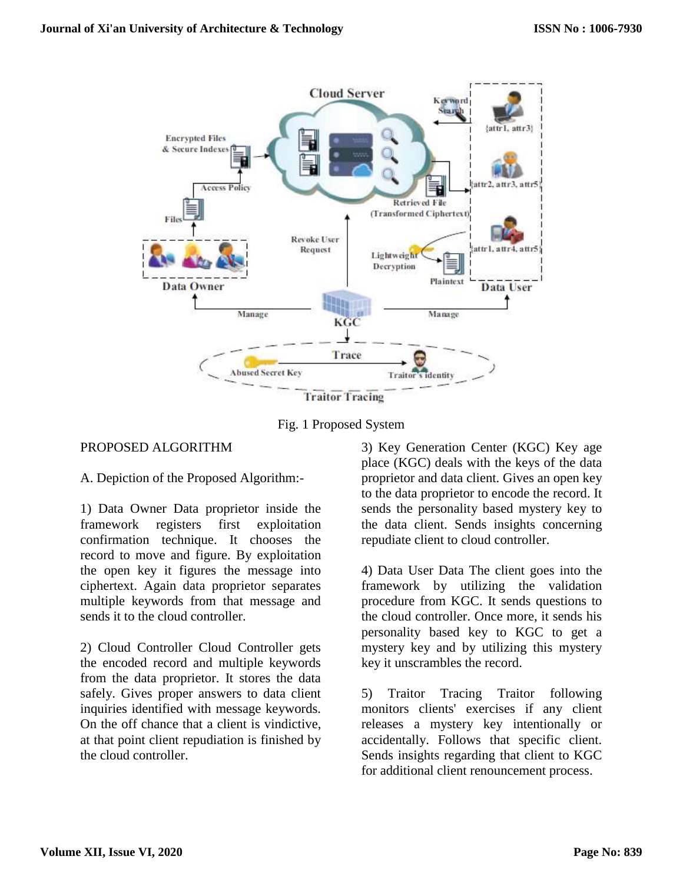

Fig. 1 Proposed System

#### PROPOSED ALGORITHM

A. Depiction of the Proposed Algorithm:-

1) Data Owner Data proprietor inside the framework registers first exploitation confirmation technique. It chooses the record to move and figure. By exploitation the open key it figures the message into ciphertext. Again data proprietor separates multiple keywords from that message and sends it to the cloud controller.

2) Cloud Controller Cloud Controller gets the encoded record and multiple keywords from the data proprietor. It stores the data safely. Gives proper answers to data client inquiries identified with message keywords. On the off chance that a client is vindictive, at that point client repudiation is finished by the cloud controller.

3) Key Generation Center (KGC) Key age place (KGC) deals with the keys of the data proprietor and data client. Gives an open key to the data proprietor to encode the record. It sends the personality based mystery key to the data client. Sends insights concerning repudiate client to cloud controller.

4) Data User Data The client goes into the framework by utilizing the validation procedure from KGC. It sends questions to the cloud controller. Once more, it sends his personality based key to KGC to get a mystery key and by utilizing this mystery key it unscrambles the record.

5) Traitor Tracing Traitor following monitors clients' exercises if any client releases a mystery key intentionally or accidentally. Follows that specific client. Sends insights regarding that client to KGC for additional client renouncement process.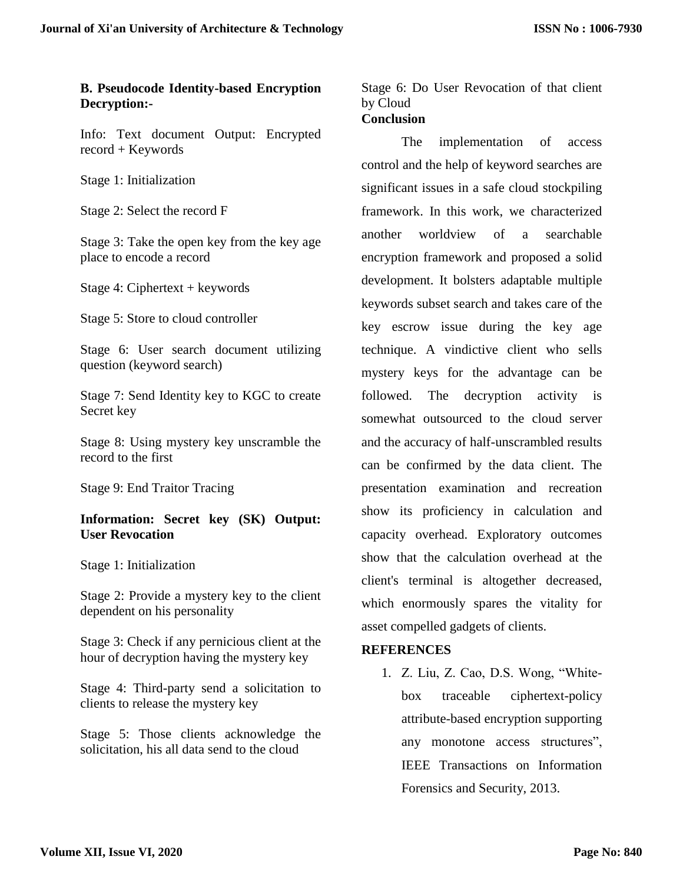#### **B. Pseudocode Identity-based Encryption Decryption:-**

Info: Text document Output: Encrypted record + Keywords

Stage 1: Initialization

Stage 2: Select the record F

Stage 3: Take the open key from the key age place to encode a record

Stage 4: Ciphertext + keywords

Stage 5: Store to cloud controller

Stage 6: User search document utilizing question (keyword search)

Stage 7: Send Identity key to KGC to create Secret key

Stage 8: Using mystery key unscramble the record to the first

Stage 9: End Traitor Tracing

**Information: Secret key (SK) Output: User Revocation** 

Stage 1: Initialization

Stage 2: Provide a mystery key to the client dependent on his personality

Stage 3: Check if any pernicious client at the hour of decryption having the mystery key

Stage 4: Third-party send a solicitation to clients to release the mystery key

Stage 5: Those clients acknowledge the solicitation, his all data send to the cloud

Stage 6: Do User Revocation of that client by Cloud **Conclusion**

The implementation of access control and the help of keyword searches are significant issues in a safe cloud stockpiling framework. In this work, we characterized another worldview of a searchable encryption framework and proposed a solid development. It bolsters adaptable multiple keywords subset search and takes care of the key escrow issue during the key age technique. A vindictive client who sells mystery keys for the advantage can be followed. The decryption activity is somewhat outsourced to the cloud server and the accuracy of half-unscrambled results can be confirmed by the data client. The presentation examination and recreation show its proficiency in calculation and capacity overhead. Exploratory outcomes show that the calculation overhead at the client's terminal is altogether decreased, which enormously spares the vitality for asset compelled gadgets of clients.

#### **REFERENCES**

1. Z. Liu, Z. Cao, D.S. Wong, "Whitebox traceable ciphertext-policy attribute-based encryption supporting any monotone access structures", IEEE Transactions on Information Forensics and Security, 2013.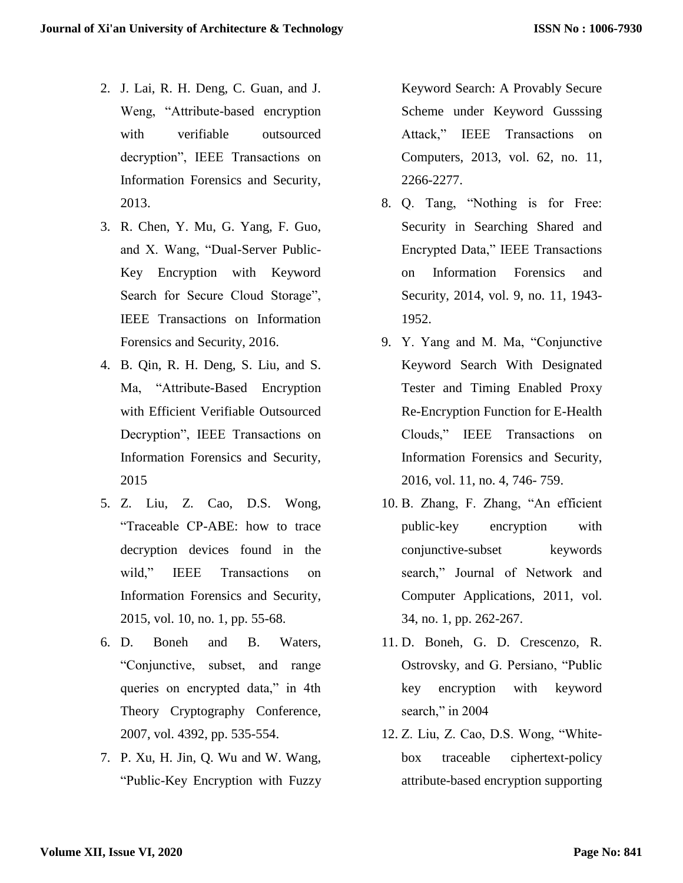- 2. J. Lai, R. H. Deng, C. Guan, and J. Weng, "Attribute-based encryption with verifiable outsourced decryption", IEEE Transactions on Information Forensics and Security, 2013.
- 3. R. Chen, Y. Mu, G. Yang, F. Guo, and X. Wang, "Dual-Server Public-Key Encryption with Keyword Search for Secure Cloud Storage", IEEE Transactions on Information Forensics and Security, 2016.
- 4. B. Qin, R. H. Deng, S. Liu, and S. Ma, "Attribute-Based Encryption with Efficient Verifiable Outsourced Decryption", IEEE Transactions on Information Forensics and Security, 2015
- 5. Z. Liu, Z. Cao, D.S. Wong, "Traceable CP-ABE: how to trace decryption devices found in the wild," IEEE Transactions on Information Forensics and Security, 2015, vol. 10, no. 1, pp. 55-68.
- 6. D. Boneh and B. Waters, "Conjunctive, subset, and range queries on encrypted data," in 4th Theory Cryptography Conference, 2007, vol. 4392, pp. 535-554.
- 7. P. Xu, H. Jin, Q. Wu and W. Wang, "Public-Key Encryption with Fuzzy

Keyword Search: A Provably Secure Scheme under Keyword Gusssing Attack," IEEE Transactions on Computers, 2013, vol. 62, no. 11, 2266-2277.

- 8. Q. Tang, "Nothing is for Free: Security in Searching Shared and Encrypted Data," IEEE Transactions on Information Forensics and Security, 2014, vol. 9, no. 11, 1943- 1952.
- 9. Y. Yang and M. Ma, "Conjunctive Keyword Search With Designated Tester and Timing Enabled Proxy Re-Encryption Function for E-Health Clouds," IEEE Transactions on Information Forensics and Security, 2016, vol. 11, no. 4, 746- 759.
- 10. B. Zhang, F. Zhang, "An efficient public-key encryption with conjunctive-subset keywords search," Journal of Network and Computer Applications, 2011, vol. 34, no. 1, pp. 262-267.
- 11. D. Boneh, G. D. Crescenzo, R. Ostrovsky, and G. Persiano, "Public key encryption with keyword search," in 2004
- 12. Z. Liu, Z. Cao, D.S. Wong, "Whitebox traceable ciphertext-policy attribute-based encryption supporting